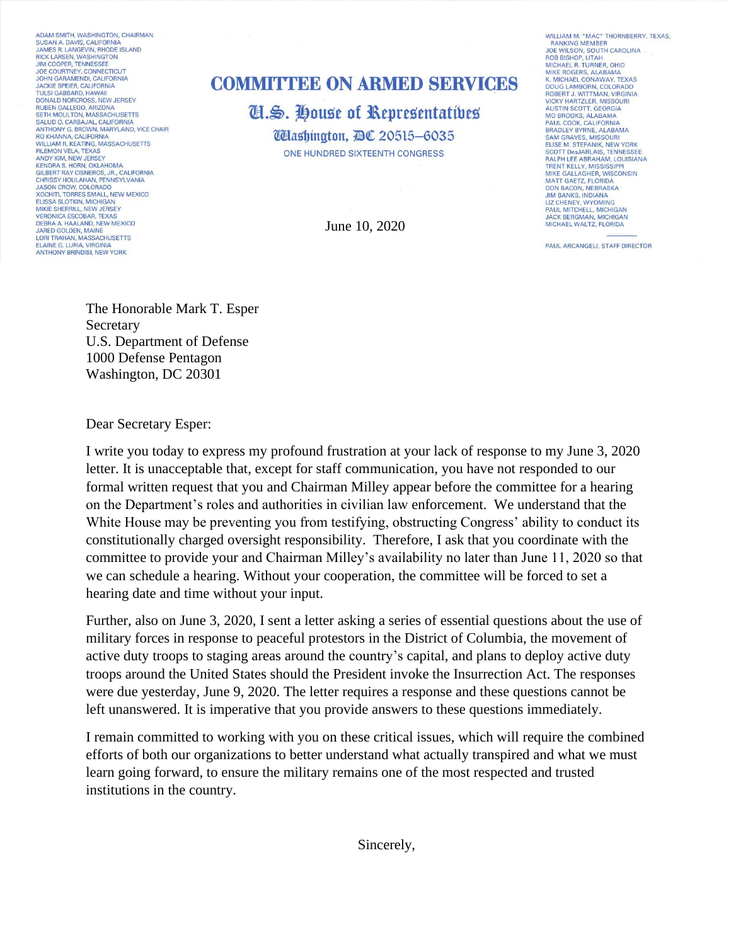ADAM SMITH, WASHINGTON, CHAIRMAN SUSAN A. DAVIS, CALIFORNIA JAMES R. LANGEVIN, RHODE ISLAND RICK LARSEN, WASHINGTON<br>JIM COOPER, TENNESSEE JOE COURTNEY, CONNECTICUT<br>JOHN GARAMENDI, CALIFORNIA<br>JACKIE SPEIER, CALIFORNIA **TULSI GABBARD, HAWAII** DONALD NORCROSS, NEW JERSEY<br>RUBEN GALLEGO, ARIZONA<br>SETH MOULTON, MASSACHUSETTS SALUD O. CARBAJAL, CALIFORNIA<br>ANTHONY G. BROWN, MARYLAND, VICE CHAIR<br>RO KHANNA, CALIFORNIA WILLIAM R. KEATING, MASSACHUSETTS FILEMON VELA, TEXAS<br>ANDY KIM, NEW JERSEY KENDRA S. HORN, OKLAHOMA<br>GILBERT RAY CISNEROS, JR., CALIFORNIA<br>CHRISSY HOULAHAN, PENNSYLVANIA JASON CROW, COLORADO SOCHITL TORRES SMALL, NEW MEXICO<br>ELISSA SLOTKIN, MICHIGAN<br>MIKIE SHERRILL, NEW JERSEY **VERONICA ESCOBAR, TEXAS** DEBRA A. HAALAND, NEW MEXICO<br>JARED GOLDEN, MAINE<br>LORI TRAHAN, MASSACHUSETTS ELAINE G. LURIA, VIRGINIA<br>ANTHONY BRINDISI, NEW YORK

## **COMMITTEE ON ARMED SERVICES**

Cl.S. House of Representatives **UHashington, AC 20515-6035** ONE HUNDRED SIXTEENTH CONGRESS

June 10, 2020

WILLIAM M. "MAC" THORNBERRY, TEXAS, **RANKING MEMBER** JOE WILSON, SOUTH CAROLINA MICHAEL B. TURNER, OHIO MIKE ROGERS, ALABAMA<br>K. MICHAEL CONAWAY, TEXAS DOUG LAMBORN, COLORADO **BOBERT J. WITTMAN, VIRGINIA<br>VICKY HARTZLER, MISSOURI<br>AUSTIN SCOTT, GEORGIA<br>MO BROOKS, ALABAMA** PAUL COOK, CALIFORNIA<br>BRADLEY BYRNE, ALABAMA **SAM GRAVES, MISSOURI** ELISE M. STEFANIK, NEW YORK<br>SCOTT DesJARLAIS, TENNESSEE RALPH LEE ABRAHAM, LOUISIANA TRENT KELLY, MISSISSIPPI<br>MIKE GALLAGHER, WISCONSIN<br>MATT GAETZ, FLORIDA **DON BACON, NEBRASKA** JIM BANKS, INDIANA<br>LIZ CHENEY, WYOMING PAUL MITCHELL, MICHIGAN JACK BERGMAN, MICHIGAN<br>MICHAEL WALTZ, FLORIDA

PAUL ARCANGELI, STAFF DIRECTOR

The Honorable Mark T. Esper Secretary U.S. Department of Defense 1000 Defense Pentagon Washington, DC 20301

Dear Secretary Esper:

I write you today to express my profound frustration at your lack of response to my June 3, 2020 letter. It is unacceptable that, except for staff communication, you have not responded to our formal written request that you and Chairman Milley appear before the committee for a hearing on the Department's roles and authorities in civilian law enforcement. We understand that the White House may be preventing you from testifying, obstructing Congress' ability to conduct its constitutionally charged oversight responsibility. Therefore, I ask that you coordinate with the committee to provide your and Chairman Milley's availability no later than June 11, 2020 so that we can schedule a hearing. Without your cooperation, the committee will be forced to set a hearing date and time without your input.

Further, also on June 3, 2020, I sent a letter asking a series of essential questions about the use of military forces in response to peaceful protestors in the District of Columbia, the movement of active duty troops to staging areas around the country's capital, and plans to deploy active duty troops around the United States should the President invoke the Insurrection Act. The responses were due yesterday, June 9, 2020. The letter requires a response and these questions cannot be left unanswered. It is imperative that you provide answers to these questions immediately.

I remain committed to working with you on these critical issues, which will require the combined efforts of both our organizations to better understand what actually transpired and what we must learn going forward, to ensure the military remains one of the most respected and trusted institutions in the country.

Sincerely,